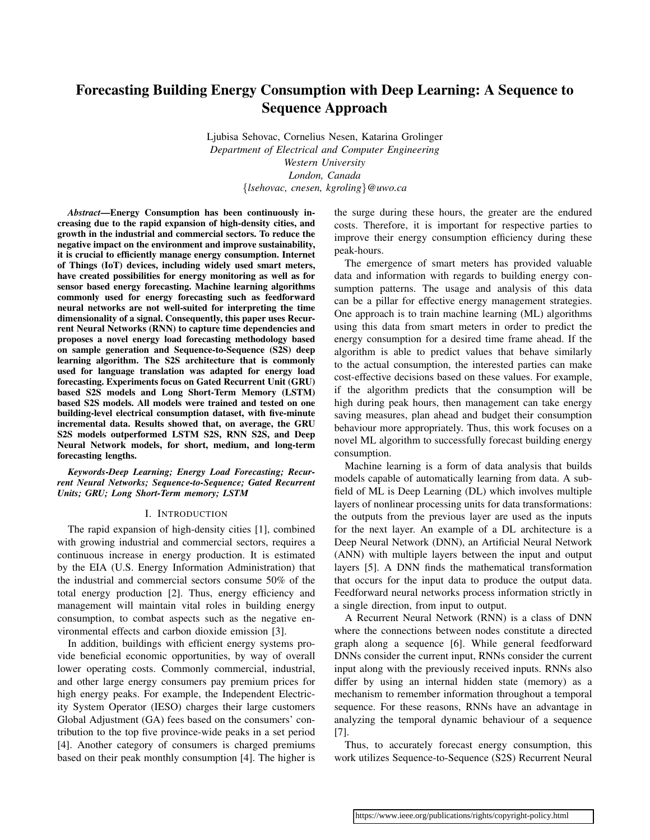# Forecasting Building Energy Consumption with Deep Learning: A Sequence to Sequence Approach

Ljubisa Sehovac, Cornelius Nesen, Katarina Grolinger *Department of Electrical and Computer Engineering Western University London, Canada* {*lsehovac, cnesen, kgroling*}*@uwo.ca*

*Abstract*—Energy Consumption has been continuously increasing due to the rapid expansion of high-density cities, and growth in the industrial and commercial sectors. To reduce the negative impact on the environment and improve sustainability, it is crucial to efficiently manage energy consumption. Internet of Things (IoT) devices, including widely used smart meters, have created possibilities for energy monitoring as well as for sensor based energy forecasting. Machine learning algorithms commonly used for energy forecasting such as feedforward neural networks are not well-suited for interpreting the time dimensionality of a signal. Consequently, this paper uses Recurrent Neural Networks (RNN) to capture time dependencies and proposes a novel energy load forecasting methodology based on sample generation and Sequence-to-Sequence (S2S) deep learning algorithm. The S2S architecture that is commonly used for language translation was adapted for energy load forecasting. Experiments focus on Gated Recurrent Unit (GRU) based S2S models and Long Short-Term Memory (LSTM) based S2S models. All models were trained and tested on one building-level electrical consumption dataset, with five-minute incremental data. Results showed that, on average, the GRU S2S models outperformed LSTM S2S, RNN S2S, and Deep Neural Network models, for short, medium, and long-term forecasting lengths.

*Keywords*-*Deep Learning; Energy Load Forecasting; Recurrent Neural Networks; Sequence-to-Sequence; Gated Recurrent Units; GRU; Long Short-Term memory; LSTM*

## I. INTRODUCTION

The rapid expansion of high-density cities [1], combined with growing industrial and commercial sectors, requires a continuous increase in energy production. It is estimated by the EIA (U.S. Energy Information Administration) that the industrial and commercial sectors consume 50% of the total energy production [2]. Thus, energy efficiency and management will maintain vital roles in building energy consumption, to combat aspects such as the negative environmental effects and carbon dioxide emission [3].

In addition, buildings with efficient energy systems provide beneficial economic opportunities, by way of overall lower operating costs. Commonly commercial, industrial, and other large energy consumers pay premium prices for high energy peaks. For example, the Independent Electricity System Operator (IESO) charges their large customers Global Adjustment (GA) fees based on the consumers' contribution to the top five province-wide peaks in a set period [4]. Another category of consumers is charged premiums based on their peak monthly consumption [4]. The higher is the surge during these hours, the greater are the endured costs. Therefore, it is important for respective parties to improve their energy consumption efficiency during these peak-hours.

The emergence of smart meters has provided valuable data and information with regards to building energy consumption patterns. The usage and analysis of this data can be a pillar for effective energy management strategies. One approach is to train machine learning (ML) algorithms using this data from smart meters in order to predict the energy consumption for a desired time frame ahead. If the algorithm is able to predict values that behave similarly to the actual consumption, the interested parties can make cost-effective decisions based on these values. For example, if the algorithm predicts that the consumption will be high during peak hours, then management can take energy saving measures, plan ahead and budget their consumption behaviour more appropriately. Thus, this work focuses on a novel ML algorithm to successfully forecast building energy consumption.

Machine learning is a form of data analysis that builds models capable of automatically learning from data. A subfield of ML is Deep Learning (DL) which involves multiple layers of nonlinear processing units for data transformations: the outputs from the previous layer are used as the inputs for the next layer. An example of a DL architecture is a Deep Neural Network (DNN), an Artificial Neural Network (ANN) with multiple layers between the input and output layers [5]. A DNN finds the mathematical transformation that occurs for the input data to produce the output data. Feedforward neural networks process information strictly in a single direction, from input to output.

A Recurrent Neural Network (RNN) is a class of DNN where the connections between nodes constitute a directed graph along a sequence [6]. While general feedforward DNNs consider the current input, RNNs consider the current input along with the previously received inputs. RNNs also differ by using an internal hidden state (memory) as a mechanism to remember information throughout a temporal sequence. For these reasons, RNNs have an advantage in analyzing the temporal dynamic behaviour of a sequence [7].

Thus, to accurately forecast energy consumption, this work utilizes Sequence-to-Sequence (S2S) Recurrent Neural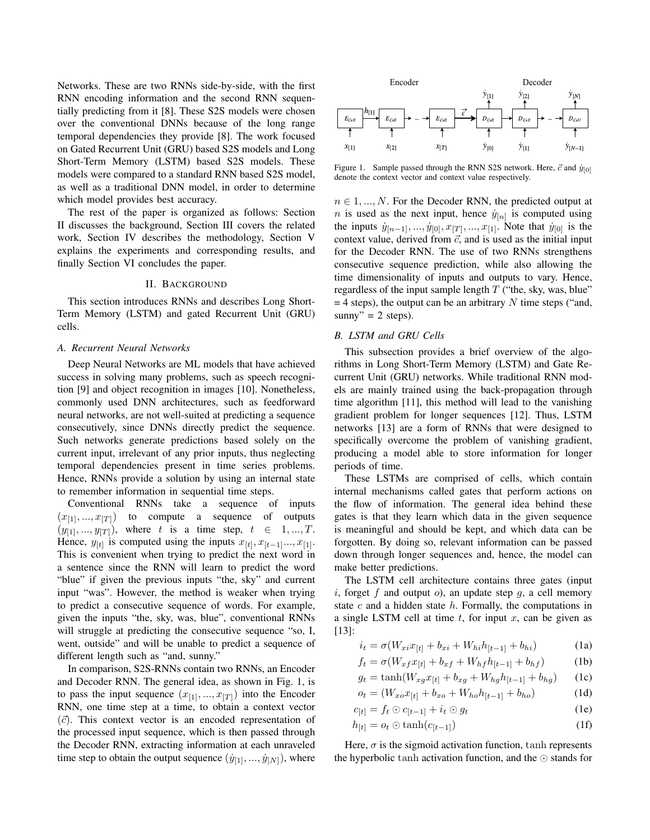Networks. These are two RNNs side-by-side, with the first RNN encoding information and the second RNN sequentially predicting from it [8]. These S2S models were chosen over the conventional DNNs because of the long range temporal dependencies they provide [8]. The work focused on Gated Recurrent Unit (GRU) based S2S models and Long Short-Term Memory (LSTM) based S2S models. These models were compared to a standard RNN based S2S model, as well as a traditional DNN model, in order to determine which model provides best accuracy.

The rest of the paper is organized as follows: Section II discusses the background, Section III covers the related work, Section IV describes the methodology, Section V explains the experiments and corresponding results, and finally Section VI concludes the paper.

#### II. BACKGROUND

This section introduces RNNs and describes Long Short-Term Memory (LSTM) and gated Recurrent Unit (GRU) cells.

## *A. Recurrent Neural Networks*

Deep Neural Networks are ML models that have achieved success in solving many problems, such as speech recognition [9] and object recognition in images [10]. Nonetheless, commonly used DNN architectures, such as feedforward neural networks, are not well-suited at predicting a sequence consecutively, since DNNs directly predict the sequence. Such networks generate predictions based solely on the current input, irrelevant of any prior inputs, thus neglecting temporal dependencies present in time series problems. Hence, RNNs provide a solution by using an internal state to remember information in sequential time steps.

Conventional RNNs take a sequence of inputs  $(x_{[1]},...,x_{[T]})$  to compute a sequence of outputs  $(y_{[1]}, ..., y_{[T]})$ , where t is a time step,  $t \in 1, ..., T$ . Hence,  $y_{[t]}$  is computed using the inputs  $x_{[t]}, x_{[t-1]}..., x_{[1]}$ . This is convenient when trying to predict the next word in a sentence since the RNN will learn to predict the word "blue" if given the previous inputs "the, sky" and current input "was". However, the method is weaker when trying to predict a consecutive sequence of words. For example, given the inputs "the, sky, was, blue", conventional RNNs will struggle at predicting the consecutive sequence "so, I, went, outside" and will be unable to predict a sequence of different length such as "and, sunny."

In comparison, S2S-RNNs contain two RNNs, an Encoder and Decoder RNN. The general idea, as shown in Fig. 1, is to pass the input sequence  $(x_{[1]}, ..., x_{[T]})$  into the Encoder RNN, one time step at a time, to obtain a context vector  $(\vec{c})$ . This context vector is an encoded representation of the processed input sequence, which is then passed through the Decoder RNN, extracting information at each unraveled time step to obtain the output sequence  $(\dot{y}_{11}, ..., \dot{y}_{N})$ , where



Figure 1. Sample passed through the RNN S2S network. Here,  $\vec{c}$  and  $\dot{y}_{[0]}$ denote the context vector and context value respectively.

 $n \in 1, ..., N$ . For the Decoder RNN, the predicted output at *n* is used as the next input, hence  $\dot{y}_{[n]}$  is computed using the inputs  $\dot{y}_{[n-1]}, ..., \dot{y}_{[0]}, x_{[T]}, ..., x_{[1]}$ . Note that  $\dot{y}_{[0]}$  is the context value, derived from  $\vec{c}$ , and is used as the initial input for the Decoder RNN. The use of two RNNs strengthens consecutive sequence prediction, while also allowing the time dimensionality of inputs and outputs to vary. Hence, regardless of the input sample length  $T$  ("the, sky, was, blue"  $=$  4 steps), the output can be an arbitrary N time steps ("and, sunny" =  $2$  steps).

## *B. LSTM and GRU Cells*

This subsection provides a brief overview of the algorithms in Long Short-Term Memory (LSTM) and Gate Recurrent Unit (GRU) networks. While traditional RNN models are mainly trained using the back-propagation through time algorithm [11], this method will lead to the vanishing gradient problem for longer sequences [12]. Thus, LSTM networks [13] are a form of RNNs that were designed to specifically overcome the problem of vanishing gradient, producing a model able to store information for longer periods of time.

These LSTMs are comprised of cells, which contain internal mechanisms called gates that perform actions on the flow of information. The general idea behind these gates is that they learn which data in the given sequence is meaningful and should be kept, and which data can be forgotten. By doing so, relevant information can be passed down through longer sequences and, hence, the model can make better predictions.

The LSTM cell architecture contains three gates (input i, forget f and output  $o$ ), an update step q, a cell memory state  $c$  and a hidden state  $h$ . Formally, the computations in a single LSTM cell at time  $t$ , for input  $x$ , can be given as [13]:

$$
i_t = \sigma(W_{xi} x_{[t]} + b_{xi} + W_{hi} h_{[t-1]} + b_{hi})
$$
 (1a)

$$
f_t = \sigma(W_{xf}x_{[t]} + b_{xf} + W_{hf}h_{[t-1]} + b_{hf})
$$
 (1b)

$$
g_t = \tanh(W_{xg}x_{[t]} + b_{xg} + W_{hg}h_{[t-1]} + b_{hg})
$$
 (1c)

$$
o_t = (W_{xo}x_{[t]} + b_{xo} + W_{ho}h_{[t-1]} + b_{ho})
$$
 (1d)

$$
c_{[t]} = f_t \odot c_{[t-1]} + i_t \odot g_t \tag{1e}
$$

$$
h_{[t]} = o_t \odot \tanh(c_{[t-1]}) \tag{1f}
$$

Here,  $\sigma$  is the sigmoid activation function,  $\tanh$  represents the hyperbolic tanh activation function, and the  $\odot$  stands for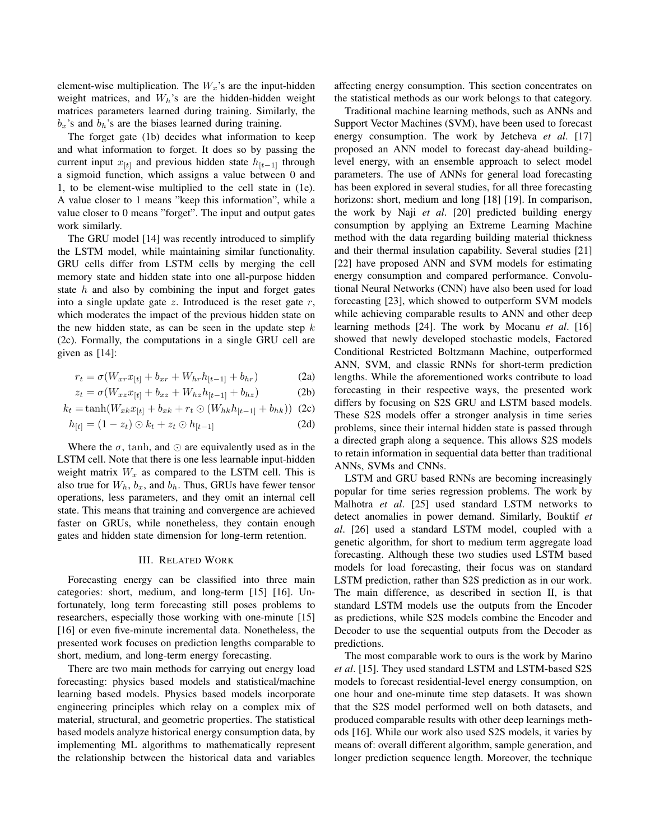element-wise multiplication. The  $W_x$ 's are the input-hidden weight matrices, and  $W_h$ 's are the hidden-hidden weight matrices parameters learned during training. Similarly, the  $b_x$ 's and  $b_h$ 's are the biases learned during training.

The forget gate (1b) decides what information to keep and what information to forget. It does so by passing the current input  $x_{[t]}$  and previous hidden state  $h_{[t-1]}$  through a sigmoid function, which assigns a value between 0 and 1, to be element-wise multiplied to the cell state in (1e). A value closer to 1 means "keep this information", while a value closer to 0 means "forget". The input and output gates work similarly.

The GRU model [14] was recently introduced to simplify the LSTM model, while maintaining similar functionality. GRU cells differ from LSTM cells by merging the cell memory state and hidden state into one all-purpose hidden state  $h$  and also by combining the input and forget gates into a single update gate  $z$ . Introduced is the reset gate  $r$ , which moderates the impact of the previous hidden state on the new hidden state, as can be seen in the update step  $k$ (2c). Formally, the computations in a single GRU cell are given as [14]:

$$
r_t = \sigma(W_{xr}x_{[t]} + b_{xr} + W_{hr}h_{[t-1]} + b_{hr})
$$
 (2a)

$$
z_t = \sigma(W_{xz}x_{[t]} + b_{xz} + W_{hz}h_{[t-1]} + b_{hz})
$$
 (2b)

$$
k_t = \tanh(W_{xk}x_{[t]} + b_{xk} + r_t \odot (W_{hk}h_{[t-1]} + b_{hk}))
$$
 (2c)

$$
h_{[t]} = (1 - z_t) \odot k_t + z_t \odot h_{[t-1]}
$$
 (2d)

Where the  $\sigma$ , tanh, and  $\odot$  are equivalently used as in the LSTM cell. Note that there is one less learnable input-hidden weight matrix  $W_x$  as compared to the LSTM cell. This is also true for  $W_h$ ,  $b_x$ , and  $b_h$ . Thus, GRUs have fewer tensor operations, less parameters, and they omit an internal cell state. This means that training and convergence are achieved faster on GRUs, while nonetheless, they contain enough gates and hidden state dimension for long-term retention.

## III. RELATED WORK

Forecasting energy can be classified into three main categories: short, medium, and long-term [15] [16]. Unfortunately, long term forecasting still poses problems to researchers, especially those working with one-minute [15] [16] or even five-minute incremental data. Nonetheless, the presented work focuses on prediction lengths comparable to short, medium, and long-term energy forecasting.

There are two main methods for carrying out energy load forecasting: physics based models and statistical/machine learning based models. Physics based models incorporate engineering principles which relay on a complex mix of material, structural, and geometric properties. The statistical based models analyze historical energy consumption data, by implementing ML algorithms to mathematically represent the relationship between the historical data and variables affecting energy consumption. This section concentrates on the statistical methods as our work belongs to that category.

Traditional machine learning methods, such as ANNs and Support Vector Machines (SVM), have been used to forecast energy consumption. The work by Jetcheva *et al*. [17] proposed an ANN model to forecast day-ahead buildinglevel energy, with an ensemble approach to select model parameters. The use of ANNs for general load forecasting has been explored in several studies, for all three forecasting horizons: short, medium and long [18] [19]. In comparison, the work by Naji *et al*. [20] predicted building energy consumption by applying an Extreme Learning Machine method with the data regarding building material thickness and their thermal insulation capability. Several studies [21] [22] have proposed ANN and SVM models for estimating energy consumption and compared performance. Convolutional Neural Networks (CNN) have also been used for load forecasting [23], which showed to outperform SVM models while achieving comparable results to ANN and other deep learning methods [24]. The work by Mocanu *et al*. [16] showed that newly developed stochastic models, Factored Conditional Restricted Boltzmann Machine, outperformed ANN, SVM, and classic RNNs for short-term prediction lengths. While the aforementioned works contribute to load forecasting in their respective ways, the presented work differs by focusing on S2S GRU and LSTM based models. These S2S models offer a stronger analysis in time series problems, since their internal hidden state is passed through a directed graph along a sequence. This allows S2S models to retain information in sequential data better than traditional ANNs, SVMs and CNNs.

LSTM and GRU based RNNs are becoming increasingly popular for time series regression problems. The work by Malhotra *et al*. [25] used standard LSTM networks to detect anomalies in power demand. Similarly, Bouktif *et al*. [26] used a standard LSTM model, coupled with a genetic algorithm, for short to medium term aggregate load forecasting. Although these two studies used LSTM based models for load forecasting, their focus was on standard LSTM prediction, rather than S2S prediction as in our work. The main difference, as described in section II, is that standard LSTM models use the outputs from the Encoder as predictions, while S2S models combine the Encoder and Decoder to use the sequential outputs from the Decoder as predictions.

The most comparable work to ours is the work by Marino *et al*. [15]. They used standard LSTM and LSTM-based S2S models to forecast residential-level energy consumption, on one hour and one-minute time step datasets. It was shown that the S2S model performed well on both datasets, and produced comparable results with other deep learnings methods [16]. While our work also used S2S models, it varies by means of: overall different algorithm, sample generation, and longer prediction sequence length. Moreover, the technique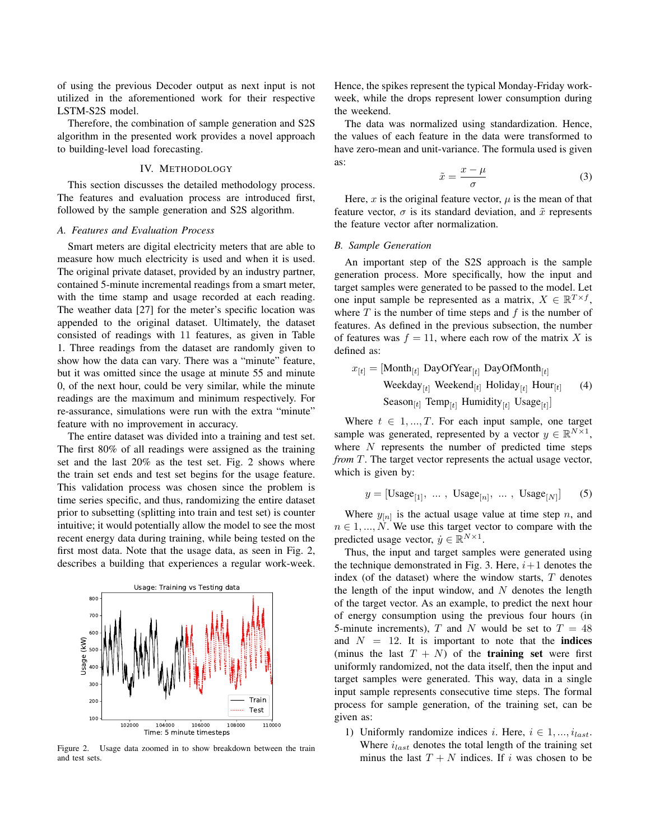of using the previous Decoder output as next input is not utilized in the aforementioned work for their respective LSTM-S2S model.

Therefore, the combination of sample generation and S2S algorithm in the presented work provides a novel approach to building-level load forecasting.

## IV. METHODOLOGY

This section discusses the detailed methodology process. The features and evaluation process are introduced first, followed by the sample generation and S2S algorithm.

# *A. Features and Evaluation Process*

Smart meters are digital electricity meters that are able to measure how much electricity is used and when it is used. The original private dataset, provided by an industry partner, contained 5-minute incremental readings from a smart meter, with the time stamp and usage recorded at each reading. The weather data [27] for the meter's specific location was appended to the original dataset. Ultimately, the dataset consisted of readings with 11 features, as given in Table 1. Three readings from the dataset are randomly given to show how the data can vary. There was a "minute" feature, but it was omitted since the usage at minute 55 and minute 0, of the next hour, could be very similar, while the minute readings are the maximum and minimum respectively. For re-assurance, simulations were run with the extra "minute" feature with no improvement in accuracy.

The entire dataset was divided into a training and test set. The first 80% of all readings were assigned as the training set and the last 20% as the test set. Fig. 2 shows where the train set ends and test set begins for the usage feature. This validation process was chosen since the problem is time series specific, and thus, randomizing the entire dataset prior to subsetting (splitting into train and test set) is counter intuitive; it would potentially allow the model to see the most recent energy data during training, while being tested on the first most data. Note that the usage data, as seen in Fig. 2, describes a building that experiences a regular work-week.



Figure 2. Usage data zoomed in to show breakdown between the train and test sets.

Hence, the spikes represent the typical Monday-Friday workweek, while the drops represent lower consumption during the weekend.

The data was normalized using standardization. Hence, the values of each feature in the data were transformed to have zero-mean and unit-variance. The formula used is given as:

$$
\tilde{x} = \frac{x - \mu}{\sigma} \tag{3}
$$

Here, x is the original feature vector,  $\mu$  is the mean of that feature vector,  $\sigma$  is its standard deviation, and  $\tilde{x}$  represents the feature vector after normalization.

## *B. Sample Generation*

An important step of the S2S approach is the sample generation process. More specifically, how the input and target samples were generated to be passed to the model. Let one input sample be represented as a matrix,  $X \in \mathbb{R}^{T \times f}$ , where  $T$  is the number of time steps and  $f$  is the number of features. As defined in the previous subsection, the number of features was  $f = 11$ , where each row of the matrix X is defined as:

$$
x_{[t]} = [\text{Month}_{[t]} \text{ DayOfYear}_{[t]} \text{DayOfMonth}_{[t]}\n\text{Weekday}_{[t]} \text{Weekend}_{[t]} \text{Holiday}_{[t]} \text{Hour}_{[t]} \quad (4)
$$
\n
$$
\text{Season}_{[t]} \text{Temp}_{[t]} \text{Humidity}_{[t]} \text{Usage}_{[t]}]
$$

Where  $t \in 1, ..., T$ . For each input sample, one target sample was generated, represented by a vector  $y \in \mathbb{R}^{N \times 1}$ , where  $N$  represents the number of predicted time steps *from* T. The target vector represents the actual usage vector, which is given by:

$$
y = [\text{Usage}_{[1]}, \dots, \text{Usage}_{[n]}, \dots, \text{Usage}_{[N]}] \tag{5}
$$

Where  $y_{[n]}$  is the actual usage value at time step n, and  $n \in 1, ..., N$ . We use this target vector to compare with the predicted usage vector,  $\dot{y} \in \mathbb{R}^{N \times 1}$ .

Thus, the input and target samples were generated using the technique demonstrated in Fig. 3. Here,  $i+1$  denotes the index (of the dataset) where the window starts,  $T$  denotes the length of the input window, and  $N$  denotes the length of the target vector. As an example, to predict the next hour of energy consumption using the previous four hours (in 5-minute increments), T and N would be set to  $T = 48$ and  $N = 12$ . It is important to note that the **indices** (minus the last  $T + N$ ) of the **training set** were first uniformly randomized, not the data itself, then the input and target samples were generated. This way, data in a single input sample represents consecutive time steps. The formal process for sample generation, of the training set, can be given as:

1) Uniformly randomize indices i. Here,  $i \in 1, ..., i_{last}$ . Where  $i_{last}$  denotes the total length of the training set minus the last  $T + N$  indices. If i was chosen to be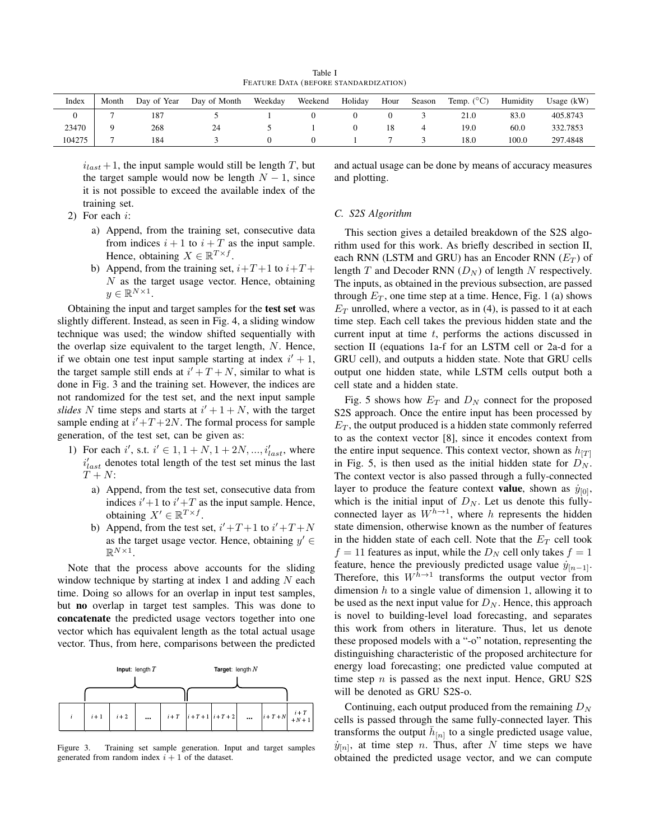Table I FEATURE DATA (BEFORE STANDARDIZATION)

| Index  | Month | Day of Year | Day of Month | Weekday | Weekend | Holiday | Hour | Season | Temp. $(^{\circ}C)$ | Humidity | Usage $(kW)$ |
|--------|-------|-------------|--------------|---------|---------|---------|------|--------|---------------------|----------|--------------|
|        |       | 187         |              |         |         |         |      |        | 21.0                | 83.0     | 405.8743     |
| 23470  |       | 268         | 24           |         |         |         |      |        | 19.0                | 60.0     | 332.7853     |
| 104275 |       | 184         |              |         |         |         |      |        | 18.0                | 100.0    | 297.4848     |

 $i_{last} + 1$ , the input sample would still be length T, but the target sample would now be length  $N - 1$ , since it is not possible to exceed the available index of the training set.

2) For each i:

- a) Append, from the training set, consecutive data from indices  $i + 1$  to  $i + T$  as the input sample. Hence, obtaining  $X \in \mathbb{R}^{T \times f}$ .
- b) Append, from the training set,  $i+T+1$  to  $i+T+$  $N$  as the target usage vector. Hence, obtaining  $y \in \mathbb{R}^{N \times 1}$ .

Obtaining the input and target samples for the test set was slightly different. Instead, as seen in Fig. 4, a sliding window technique was used; the window shifted sequentially with the overlap size equivalent to the target length, N. Hence, if we obtain one test input sample starting at index  $i' + 1$ , the target sample still ends at  $i' + T + N$ , similar to what is done in Fig. 3 and the training set. However, the indices are not randomized for the test set, and the next input sample *slides* N time steps and starts at  $i' + 1 + N$ , with the target sample ending at  $i' + T + 2N$ . The formal process for sample generation, of the test set, can be given as:

- 1) For each i', s.t.  $i' \in 1, 1 + N, 1 + 2N, ..., i'_{last}$ , where  $i'_{last}$  denotes total length of the test set minus the last  $T + N$ :
	- a) Append, from the test set, consecutive data from indices  $i'+1$  to  $i'+T$  as the input sample. Hence, obtaining  $X' \in \mathbb{R}^{T \times f}$ .
	- b) Append, from the test set,  $i' + T + 1$  to  $i' + T + N$ as the target usage vector. Hence, obtaining  $y' \in$  $\mathbb{R}^{N\times 1}$ .

Note that the process above accounts for the sliding window technique by starting at index 1 and adding  $N$  each time. Doing so allows for an overlap in input test samples, but no overlap in target test samples. This was done to concatenate the predicted usage vectors together into one vector which has equivalent length as the total actual usage vector. Thus, from here, comparisons between the predicted



Figure 3. Training set sample generation. Input and target samples generated from random index  $i + 1$  of the dataset.

and actual usage can be done by means of accuracy measures and plotting.

## *C. S2S Algorithm*

This section gives a detailed breakdown of the S2S algorithm used for this work. As briefly described in section II, each RNN (LSTM and GRU) has an Encoder RNN ( $E_T$ ) of length T and Decoder RNN  $(D_N)$  of length N respectively. The inputs, as obtained in the previous subsection, are passed through  $E_T$ , one time step at a time. Hence, Fig. 1 (a) shows  $E_T$  unrolled, where a vector, as in (4), is passed to it at each time step. Each cell takes the previous hidden state and the current input at time  $t$ , performs the actions discussed in section II (equations 1a-f for an LSTM cell or 2a-d for a GRU cell), and outputs a hidden state. Note that GRU cells output one hidden state, while LSTM cells output both a cell state and a hidden state.

Fig. 5 shows how  $E_T$  and  $D_N$  connect for the proposed S2S approach. Once the entire input has been processed by  $E_T$ , the output produced is a hidden state commonly referred to as the context vector [8], since it encodes context from the entire input sequence. This context vector, shown as  $h_{[T]}$ in Fig. 5, is then used as the initial hidden state for  $D<sub>N</sub>$ . The context vector is also passed through a fully-connected layer to produce the feature context **value**, shown as  $\dot{y}_{[0]}$ , which is the initial input of  $D<sub>N</sub>$ . Let us denote this fullyconnected layer as  $W^{h\to 1}$ , where h represents the hidden state dimension, otherwise known as the number of features in the hidden state of each cell. Note that the  $E_T$  cell took  $f = 11$  features as input, while the  $D<sub>N</sub>$  cell only takes  $f = 1$ feature, hence the previously predicted usage value  $\dot{y}_{[n-1]}$ . Therefore, this  $W^{h\to1}$  transforms the output vector from dimension  $h$  to a single value of dimension 1, allowing it to be used as the next input value for  $D<sub>N</sub>$ . Hence, this approach is novel to building-level load forecasting, and separates this work from others in literature. Thus, let us denote these proposed models with a "-o" notation, representing the distinguishing characteristic of the proposed architecture for energy load forecasting; one predicted value computed at time step  $n$  is passed as the next input. Hence, GRU S2S will be denoted as GRU S2S-o.

Continuing, each output produced from the remaining  $D<sub>N</sub>$ cells is passed through the same fully-connected layer. This transforms the output  $\bar{h}_{[n]}$  to a single predicted usage value,  $\dot{y}_{[n]}$ , at time step *n*. Thus, after *N* time steps we have obtained the predicted usage vector, and we can compute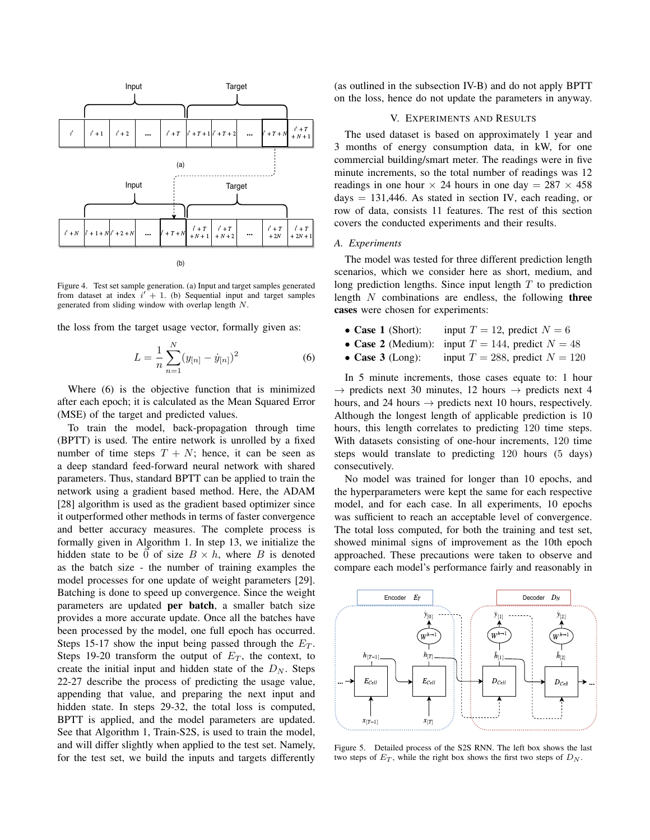

Figure 4. Test set sample generation. (a) Input and target samples generated from dataset at index  $i' + 1$ . (b) Sequential input and target samples generated from sliding window with overlap length N.

the loss from the target usage vector, formally given as:

$$
L = \frac{1}{n} \sum_{n=1}^{N} (y_{[n]} - \dot{y}_{[n]})^2
$$
 (6)

Where (6) is the objective function that is minimized after each epoch; it is calculated as the Mean Squared Error (MSE) of the target and predicted values.

To train the model, back-propagation through time (BPTT) is used. The entire network is unrolled by a fixed number of time steps  $T + N$ ; hence, it can be seen as a deep standard feed-forward neural network with shared parameters. Thus, standard BPTT can be applied to train the network using a gradient based method. Here, the ADAM [28] algorithm is used as the gradient based optimizer since it outperformed other methods in terms of faster convergence and better accuracy measures. The complete process is formally given in Algorithm 1. In step 13, we initialize the hidden state to be  $\vec{0}$  of size  $B \times h$ , where B is denoted as the batch size - the number of training examples the model processes for one update of weight parameters [29]. Batching is done to speed up convergence. Since the weight parameters are updated per batch, a smaller batch size provides a more accurate update. Once all the batches have been processed by the model, one full epoch has occurred. Steps 15-17 show the input being passed through the  $E_T$ . Steps 19-20 transform the output of  $E_T$ , the context, to create the initial input and hidden state of the  $D<sub>N</sub>$ . Steps 22-27 describe the process of predicting the usage value, appending that value, and preparing the next input and hidden state. In steps 29-32, the total loss is computed, BPTT is applied, and the model parameters are updated. See that Algorithm 1, Train-S2S, is used to train the model, and will differ slightly when applied to the test set. Namely, for the test set, we build the inputs and targets differently (as outlined in the subsection IV-B) and do not apply BPTT on the loss, hence do not update the parameters in anyway.

## V. EXPERIMENTS AND RESULTS

The used dataset is based on approximately 1 year and 3 months of energy consumption data, in kW, for one commercial building/smart meter. The readings were in five minute increments, so the total number of readings was 12 readings in one hour  $\times$  24 hours in one day = 287  $\times$  458 days  $= 131,446$ . As stated in section IV, each reading, or row of data, consists 11 features. The rest of this section covers the conducted experiments and their results.

## *A. Experiments*

The model was tested for three different prediction length scenarios, which we consider here as short, medium, and long prediction lengths. Since input length  $T$  to prediction length  $N$  combinations are endless, the following three cases were chosen for experiments:

- Case 1 (Short): input  $T = 12$ , predict  $N = 6$
- Case 2 (Medium): input  $T = 144$ , predict  $N = 48$
- Case 3 (Long): input  $T = 288$ , predict  $N = 120$

In 5 minute increments, those cases equate to: 1 hour  $\rightarrow$  predicts next 30 minutes, 12 hours  $\rightarrow$  predicts next 4 hours, and 24 hours  $\rightarrow$  predicts next 10 hours, respectively. Although the longest length of applicable prediction is 10 hours, this length correlates to predicting 120 time steps. With datasets consisting of one-hour increments, 120 time steps would translate to predicting 120 hours (5 days) consecutively.

No model was trained for longer than 10 epochs, and the hyperparameters were kept the same for each respective model, and for each case. In all experiments, 10 epochs was sufficient to reach an acceptable level of convergence. The total loss computed, for both the training and test set, showed minimal signs of improvement as the 10th epoch approached. These precautions were taken to observe and compare each model's performance fairly and reasonably in



Figure 5. Detailed process of the S2S RNN. The left box shows the last two steps of  $E_T$ , while the right box shows the first two steps of  $D_N$ .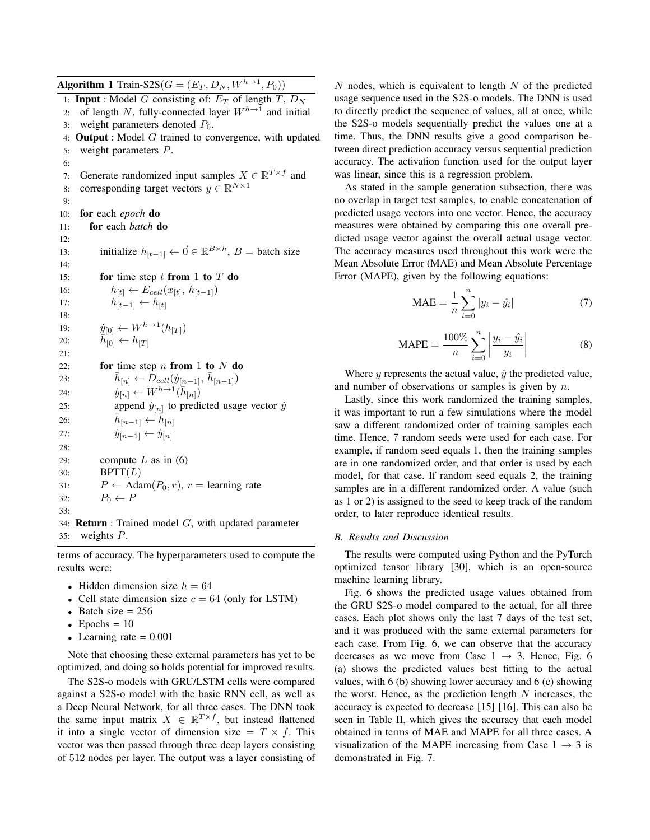**Algorithm 1** Train-S2S $(G = (E_T, D_N, W^{h \rightarrow 1}, P_0))$ 1: **Input** : Model G consisting of:  $E_T$  of length T,  $D_N$ 2: of length N, fully-connected layer  $W^{h\to 1}$  and initial 3: weight parameters denoted  $P_0$ . 4: **Output** : Model  $G$  trained to convergence, with updated 5: weight parameters P. 6: 7: Generate randomized input samples  $X \in \mathbb{R}^{T \times f}$  and 8: corresponding target vectors  $y \in \mathbb{R}^{N \times 1}$  $Q$ 10: for each *epoch* do 11: for each *batch* do 12: 13: initialize  $h_{[t-1]} \leftarrow \vec{0} \in \mathbb{R}^{B \times h}$ , B = batch size 14: 15: for time step t from 1 to  $T$  do 16:  $h_{[t]} \leftarrow E_{cell}(x_{[t]}, h_{[t-1]})$ 17:  $h_{[t-1]} \leftarrow h_{[t]}$ 18: 19:  $\dot{y}_{[0]} \leftarrow W^{h \to 1}(h_{[T]})$ 20:  $\overline{h}_{[0]}^{\mathfrak{p}^{[0]}} \leftarrow h_{[T]}$  $21:$ 22: for time step n from 1 to  $N$  do 23:  $\bar{h}_{[n]} \leftarrow \bar{D}_{cell}(\dot{y}_{[n-1]}, \bar{h}_{[n-1]})$ 24:  $\dot{y}_{[n]} \leftarrow W^{h \rightarrow 1}(\bar{h}_{[n]})$ 25: append  $\dot{y}_{[n]}$  to predicted usage vector  $\dot{y}$ 26:  $\bar{h}_{[n-1]} \leftarrow \dot{\bar{h}}_{[n]}$ 27:  $\dot{y}_{[n-1]} \leftarrow \dot{y}_{[n]}$ 28: 29: compute L as in  $(6)$ 30:  $BPTT(L)$ 31:  $P \leftarrow \text{Adam}(P_0, r), r = \text{learning rate}$ 32:  $P_0 \leftarrow P$ 33: 34: **Return** : Trained model  $G$ , with updated parameter 35: weights P.

terms of accuracy. The hyperparameters used to compute the results were:

- Hidden dimension size  $h = 64$
- Cell state dimension size  $c = 64$  (only for LSTM)
- Batch size  $= 256$
- Epochs  $= 10$
- Learning rate  $= 0.001$

Note that choosing these external parameters has yet to be optimized, and doing so holds potential for improved results.

The S2S-o models with GRU/LSTM cells were compared against a S2S-o model with the basic RNN cell, as well as a Deep Neural Network, for all three cases. The DNN took the same input matrix  $X \in \mathbb{R}^{T \times f}$ , but instead flattened it into a single vector of dimension size  $= T \times f$ . This vector was then passed through three deep layers consisting of 512 nodes per layer. The output was a layer consisting of  $N$  nodes, which is equivalent to length  $N$  of the predicted usage sequence used in the S2S-o models. The DNN is used to directly predict the sequence of values, all at once, while the S2S-o models sequentially predict the values one at a time. Thus, the DNN results give a good comparison between direct prediction accuracy versus sequential prediction accuracy. The activation function used for the output layer was linear, since this is a regression problem.

As stated in the sample generation subsection, there was no overlap in target test samples, to enable concatenation of predicted usage vectors into one vector. Hence, the accuracy measures were obtained by comparing this one overall predicted usage vector against the overall actual usage vector. The accuracy measures used throughout this work were the Mean Absolute Error (MAE) and Mean Absolute Percentage Error (MAPE), given by the following equations:

$$
MAE = \frac{1}{n} \sum_{i=0}^{n} |y_i - \hat{y}_i|
$$
 (7)

$$
MAPE = \frac{100\%}{n} \sum_{i=0}^{n} \left| \frac{y_i - \hat{y_i}}{y_i} \right|
$$
 (8)

Where y represents the actual value,  $\hat{y}$  the predicted value, and number of observations or samples is given by  $n$ .

Lastly, since this work randomized the training samples, it was important to run a few simulations where the model saw a different randomized order of training samples each time. Hence, 7 random seeds were used for each case. For example, if random seed equals 1, then the training samples are in one randomized order, and that order is used by each model, for that case. If random seed equals 2, the training samples are in a different randomized order. A value (such as 1 or 2) is assigned to the seed to keep track of the random order, to later reproduce identical results.

### *B. Results and Discussion*

The results were computed using Python and the PyTorch optimized tensor library [30], which is an open-source machine learning library.

Fig. 6 shows the predicted usage values obtained from the GRU S2S-o model compared to the actual, for all three cases. Each plot shows only the last 7 days of the test set, and it was produced with the same external parameters for each case. From Fig. 6, we can observe that the accuracy decreases as we move from Case  $1 \rightarrow 3$ . Hence, Fig. 6 (a) shows the predicted values best fitting to the actual values, with 6 (b) showing lower accuracy and 6 (c) showing the worst. Hence, as the prediction length  $N$  increases, the accuracy is expected to decrease [15] [16]. This can also be seen in Table II, which gives the accuracy that each model obtained in terms of MAE and MAPE for all three cases. A visualization of the MAPE increasing from Case  $1 \rightarrow 3$  is demonstrated in Fig. 7.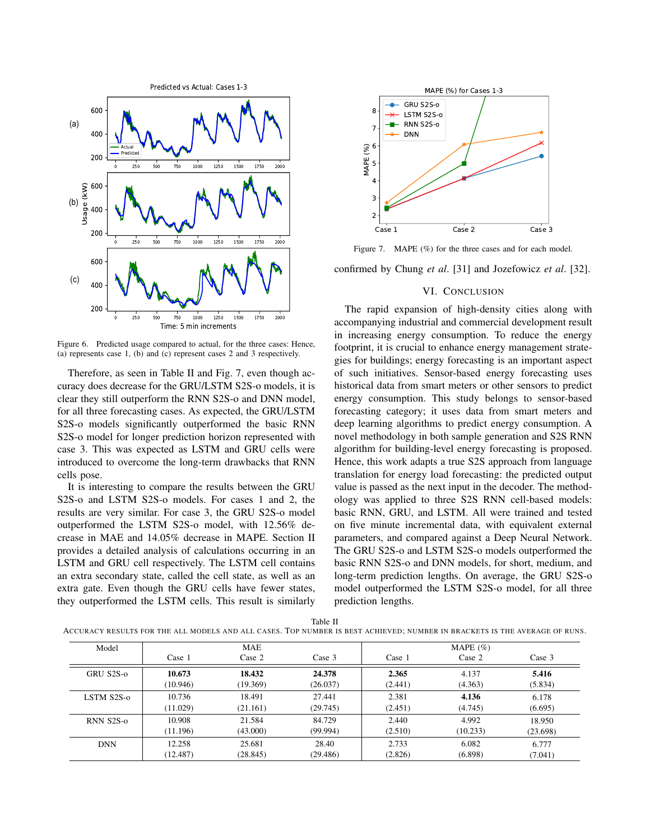

Figure 6. Predicted usage compared to actual, for the three cases: Hence, (a) represents case 1, (b) and (c) represent cases 2 and 3 respectively.

Therefore, as seen in Table II and Fig. 7, even though accuracy does decrease for the GRU/LSTM S2S-o models, it is clear they still outperform the RNN S2S-o and DNN model, for all three forecasting cases. As expected, the GRU/LSTM S2S-o models significantly outperformed the basic RNN S2S-o model for longer prediction horizon represented with case 3. This was expected as LSTM and GRU cells were introduced to overcome the long-term drawbacks that RNN cells pose.

It is interesting to compare the results between the GRU S2S-o and LSTM S2S-o models. For cases 1 and 2, the results are very similar. For case 3, the GRU S2S-o model outperformed the LSTM S2S-o model, with 12.56% decrease in MAE and 14.05% decrease in MAPE. Section II provides a detailed analysis of calculations occurring in an LSTM and GRU cell respectively. The LSTM cell contains an extra secondary state, called the cell state, as well as an extra gate. Even though the GRU cells have fewer states, they outperformed the LSTM cells. This result is similarly



Figure 7. MAPE (%) for the three cases and for each model.

confirmed by Chung *et al*. [31] and Jozefowicz *et al*. [32].

# VI. CONCLUSION

The rapid expansion of high-density cities along with accompanying industrial and commercial development result in increasing energy consumption. To reduce the energy footprint, it is crucial to enhance energy management strategies for buildings; energy forecasting is an important aspect of such initiatives. Sensor-based energy forecasting uses historical data from smart meters or other sensors to predict energy consumption. This study belongs to sensor-based forecasting category; it uses data from smart meters and deep learning algorithms to predict energy consumption. A novel methodology in both sample generation and S2S RNN algorithm for building-level energy forecasting is proposed. Hence, this work adapts a true S2S approach from language translation for energy load forecasting: the predicted output value is passed as the next input in the decoder. The methodology was applied to three S2S RNN cell-based models: basic RNN, GRU, and LSTM. All were trained and tested on five minute incremental data, with equivalent external parameters, and compared against a Deep Neural Network. The GRU S2S-o and LSTM S2S-o models outperformed the basic RNN S2S-o and DNN models, for short, medium, and long-term prediction lengths. On average, the GRU S2S-o model outperformed the LSTM S2S-o model, for all three prediction lengths.

ACCURACY RESULTS FOR THE ALL MODELS AND ALL CASES. TOP NUMBER IS BEST ACHIEVED; NUMBER IN BRACKETS IS THE AVERAGE OF RUNS.

| Model      |          | <b>MAE</b> |          |         | MAPE $(\% )$ |          |
|------------|----------|------------|----------|---------|--------------|----------|
|            | Case 1   | Case 2     | Case 3   | Case 1  | Case 2       | Case 3   |
| GRU S2S-0  | 10.673   | 18.432     | 24.378   | 2.365   | 4.137        | 5.416    |
|            | (10.946) | (19.369)   | (26.037) | (2.441) | (4.363)      | (5.834)  |
| LSTM S2S-0 | 10.736   | 18.491     | 27.441   | 2.381   | 4.136        | 6.178    |
|            | (11.029) | (21.161)   | (29.745) | (2.451) | (4.745)      | (6.695)  |
| RNN S2S-0  | 10.908   | 21.584     | 84.729   | 2.440   | 4.992        | 18.950   |
|            | (11.196) | (43.000)   | (99.994) | (2.510) | (10.233)     | (23.698) |
| <b>DNN</b> | 12.258   | 25.681     | 28.40    | 2.733   | 6.082        | 6.777    |
|            | (12.487) | (28.845)   | (29.486) | (2.826) | (6.898)      | (7.041)  |